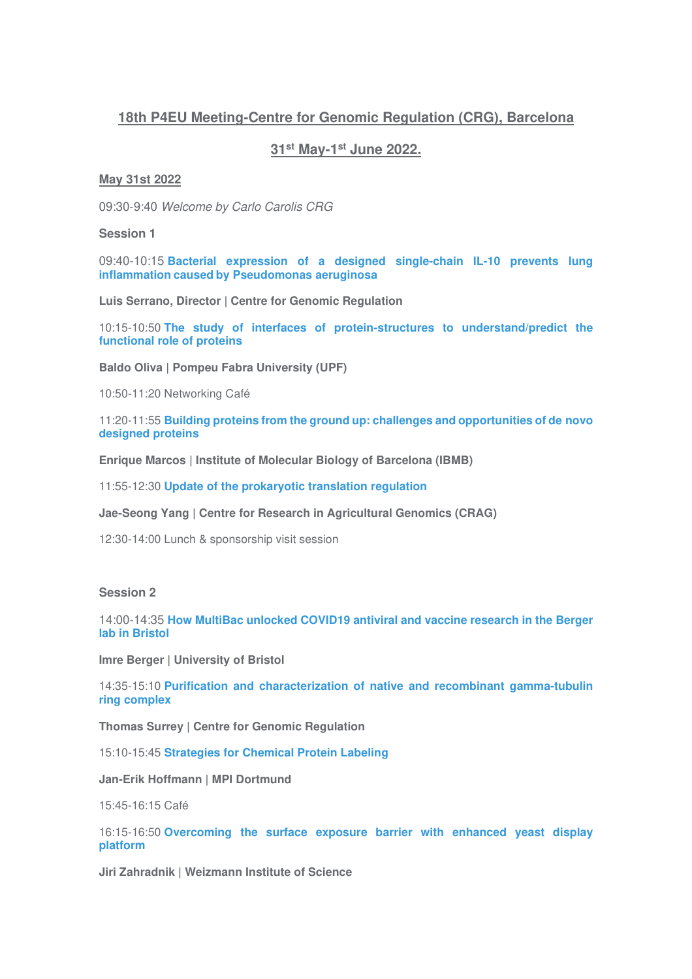# **18th P4EU Meeting-Centre for Genomic Regulation (CRG), Barcelona**

## **31st May-1st June 2022.**

#### **May 31st 2022**

09:30-9:40 Welcome by Carlo Carolis CRG

#### **Session 1**

09:40-10:15 **Bacterial expression of a designed single-chain IL-10 prevents lung inflammation caused by Pseudomonas aeruginosa**

**Luis Serrano, Director | Centre for Genomic Regulation**

10:15-10:50 **The study of interfaces of protein-structures to understand/predict the functional role of proteins**

**Baldo Oliva | Pompeu Fabra University (UPF)**

10:50-11:20 Networking Café

11:20-11:55 **Building proteins from the ground up: challenges and opportunities of de novo designed proteins** 

**Enrique Marcos | Institute of Molecular Biology of Barcelona (IBMB)**

11:55-12:30 **Update of the prokaryotic translation regulation**

**Jae-Seong Yang | Centre for Research in Agricultural Genomics (CRAG)**

12:30-14:00 Lunch & sponsorship visit session

### **Session 2**

14:00-14:35 **How MultiBac unlocked COVID19 antiviral and vaccine research in the Berger lab in Bristol** 

**Imre Berger | University of Bristol**

14:35-15:10 **Purification and characterization of native and recombinant gamma-tubulin ring complex**

**Thomas Surrey | Centre for Genomic Regulation**

15:10-15:45 **Strategies for Chemical Protein Labeling**

**Jan-Erik Hoffmann | MPI Dortmund**

15:45-16:15 Café

16:15-16:50 **Overcoming the surface exposure barrier with enhanced yeast display platform** 

**Jiri Zahradnik | Weizmann Institute of Science**